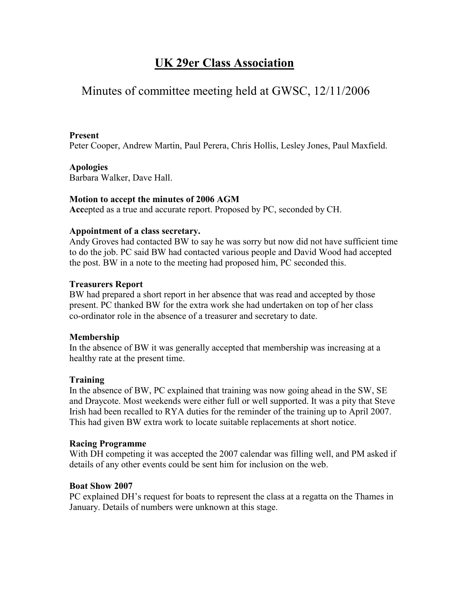# **UK 29er Class Association**

## Minutes of committee meeting held at GWSC, 12/11/2006

#### **Present**

Peter Cooper, Andrew Martin, Paul Perera, Chris Hollis, Lesley Jones, Paul Maxfield.

## **Apologies**

Barbara Walker, Dave Hall.

## **Motion to accept the minutes of 2006 AGM**

**Acc**epted as a true and accurate report. Proposed by PC, seconded by CH.

#### **Appointment of a class secretary.**

Andy Groves had contacted BW to say he was sorry but now did not have sufficient time to do the job. PC said BW had contacted various people and David Wood had accepted the post. BW in a note to the meeting had proposed him, PC seconded this.

#### **Treasurers Report**

BW had prepared a short report in her absence that was read and accepted by those present. PC thanked BW for the extra work she had undertaken on top of her class co-ordinator role in the absence of a treasurer and secretary to date.

#### **Membership**

In the absence of BW it was generally accepted that membership was increasing at a healthy rate at the present time.

#### **Training**

In the absence of BW, PC explained that training was now going ahead in the SW, SE and Draycote. Most weekends were either full or well supported. It was a pity that Steve Irish had been recalled to RYA duties for the reminder of the training up to April 2007. This had given BW extra work to locate suitable replacements at short notice.

#### **Racing Programme**

With DH competing it was accepted the 2007 calendar was filling well, and PM asked if details of any other events could be sent him for inclusion on the web.

#### **Boat Show 2007**

PC explained DH's request for boats to represent the class at a regatta on the Thames in January. Details of numbers were unknown at this stage.